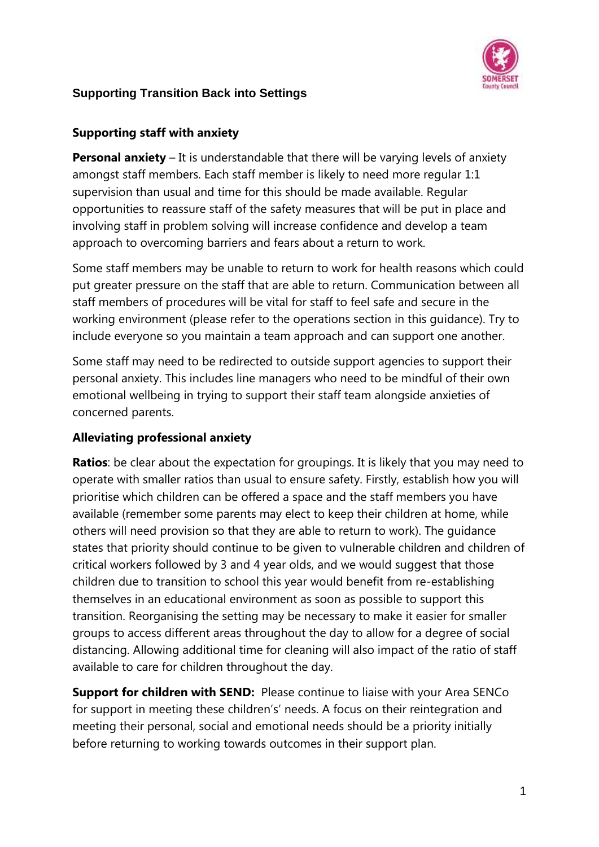

### **Supporting staff with anxiety**

**Personal anxiety** – It is understandable that there will be varying levels of anxiety amongst staff members. Each staff member is likely to need more regular 1:1 supervision than usual and time for this should be made available. Regular opportunities to reassure staff of the safety measures that will be put in place and involving staff in problem solving will increase confidence and develop a team approach to overcoming barriers and fears about a return to work.

Some staff members may be unable to return to work for health reasons which could put greater pressure on the staff that are able to return. Communication between all staff members of procedures will be vital for staff to feel safe and secure in the working environment (please refer to the operations section in this guidance). Try to include everyone so you maintain a team approach and can support one another.

Some staff may need to be redirected to outside support agencies to support their personal anxiety. This includes line managers who need to be mindful of their own emotional wellbeing in trying to support their staff team alongside anxieties of concerned parents.

### **Alleviating professional anxiety**

**Ratios**: be clear about the expectation for groupings. It is likely that you may need to operate with smaller ratios than usual to ensure safety. Firstly, establish how you will prioritise which children can be offered a space and the staff members you have available (remember some parents may elect to keep their children at home, while others will need provision so that they are able to return to work). The guidance states that priority should continue to be given to vulnerable children and children of critical workers followed by 3 and 4 year olds, and we would suggest that those children due to transition to school this year would benefit from re-establishing themselves in an educational environment as soon as possible to support this transition. Reorganising the setting may be necessary to make it easier for smaller groups to access different areas throughout the day to allow for a degree of social distancing. Allowing additional time for cleaning will also impact of the ratio of staff available to care for children throughout the day.

**Support for children with SEND:** Please continue to liaise with your Area SENCo for support in meeting these children's' needs. A focus on their reintegration and meeting their personal, social and emotional needs should be a priority initially before returning to working towards outcomes in their support plan.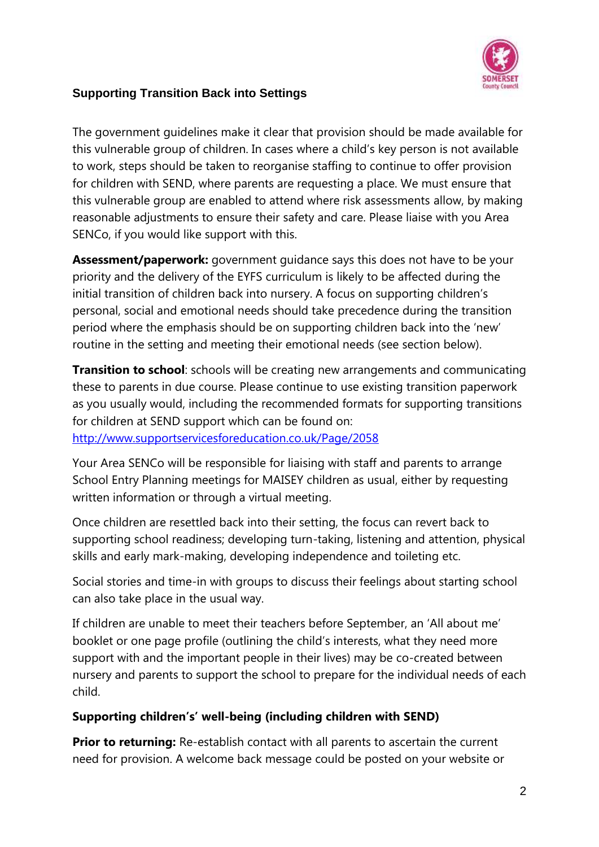

The government guidelines make it clear that provision should be made available for this vulnerable group of children. In cases where a child's key person is not available to work, steps should be taken to reorganise staffing to continue to offer provision for children with SEND, where parents are requesting a place. We must ensure that this vulnerable group are enabled to attend where risk assessments allow, by making reasonable adjustments to ensure their safety and care. Please liaise with you Area SENCo, if you would like support with this.

**Assessment/paperwork:** government guidance says this does not have to be your priority and the delivery of the EYFS curriculum is likely to be affected during the initial transition of children back into nursery. A focus on supporting children's personal, social and emotional needs should take precedence during the transition period where the emphasis should be on supporting children back into the 'new' routine in the setting and meeting their emotional needs (see section below).

**Transition to school**: schools will be creating new arrangements and communicating these to parents in due course. Please continue to use existing transition paperwork as you usually would, including the recommended formats for supporting transitions for children at SEND support which can be found on:

<http://www.supportservicesforeducation.co.uk/Page/2058>

Your Area SENCo will be responsible for liaising with staff and parents to arrange School Entry Planning meetings for MAISEY children as usual, either by requesting written information or through a virtual meeting.

Once children are resettled back into their setting, the focus can revert back to supporting school readiness; developing turn-taking, listening and attention, physical skills and early mark-making, developing independence and toileting etc.

Social stories and time-in with groups to discuss their feelings about starting school can also take place in the usual way.

If children are unable to meet their teachers before September, an 'All about me' booklet or one page profile (outlining the child's interests, what they need more support with and the important people in their lives) may be co-created between nursery and parents to support the school to prepare for the individual needs of each child.

### **Supporting children's' well-being (including children with SEND)**

**Prior to returning:** Re-establish contact with all parents to ascertain the current need for provision. A welcome back message could be posted on your website or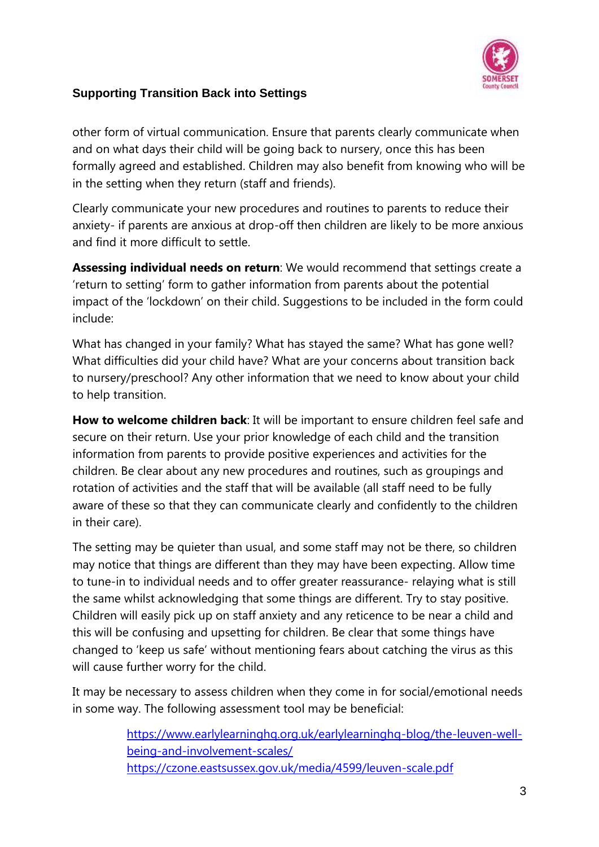

other form of virtual communication. Ensure that parents clearly communicate when and on what days their child will be going back to nursery, once this has been formally agreed and established. Children may also benefit from knowing who will be in the setting when they return (staff and friends).

Clearly communicate your new procedures and routines to parents to reduce their anxiety- if parents are anxious at drop-off then children are likely to be more anxious and find it more difficult to settle.

**Assessing individual needs on return**: We would recommend that settings create a 'return to setting' form to gather information from parents about the potential impact of the 'lockdown' on their child. Suggestions to be included in the form could include:

What has changed in your family? What has stayed the same? What has gone well? What difficulties did your child have? What are your concerns about transition back to nursery/preschool? Any other information that we need to know about your child to help transition.

**How to welcome children back**: It will be important to ensure children feel safe and secure on their return. Use your prior knowledge of each child and the transition information from parents to provide positive experiences and activities for the children. Be clear about any new procedures and routines, such as groupings and rotation of activities and the staff that will be available (all staff need to be fully aware of these so that they can communicate clearly and confidently to the children in their care).

The setting may be quieter than usual, and some staff may not be there, so children may notice that things are different than they may have been expecting. Allow time to tune-in to individual needs and to offer greater reassurance- relaying what is still the same whilst acknowledging that some things are different. Try to stay positive. Children will easily pick up on staff anxiety and any reticence to be near a child and this will be confusing and upsetting for children. Be clear that some things have changed to 'keep us safe' without mentioning fears about catching the virus as this will cause further worry for the child.

It may be necessary to assess children when they come in for social/emotional needs in some way. The following assessment tool may be beneficial:

> [https://www.earlylearninghq.org.uk/earlylearninghq-blog/the-leuven-well](https://www.earlylearninghq.org.uk/earlylearninghq-blog/the-leuven-well-being-and-involvement-scales/)[being-and-involvement-scales/](https://www.earlylearninghq.org.uk/earlylearninghq-blog/the-leuven-well-being-and-involvement-scales/) <https://czone.eastsussex.gov.uk/media/4599/leuven-scale.pdf>